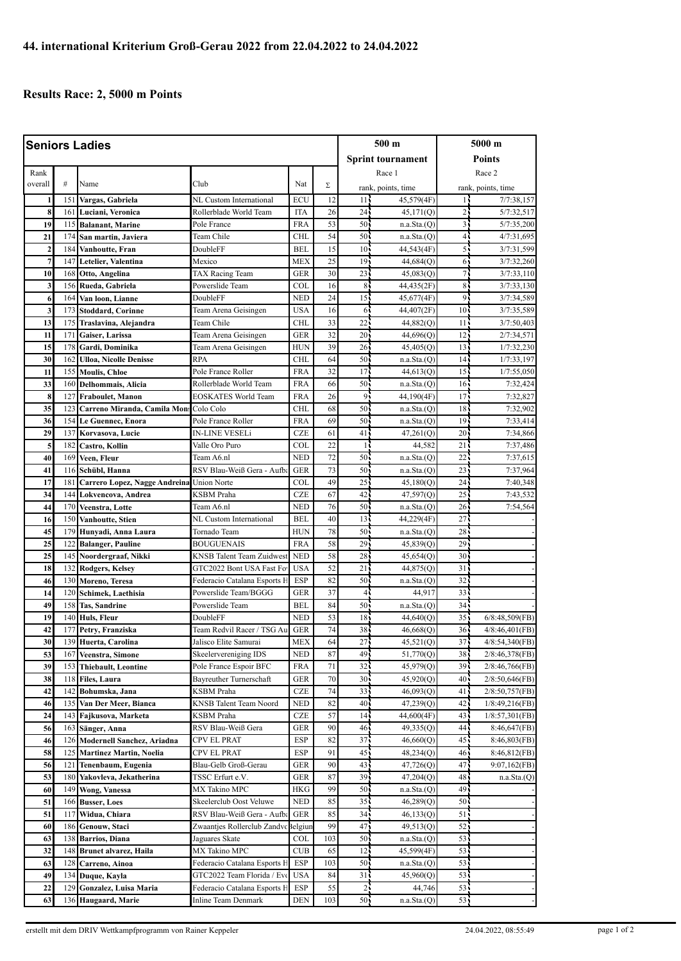## **Results Race: 2, 5000 m Points**

| <b>Seniors Ladies</b> |            |                                                      |                                 |            |          | 500 m                    |                        | 5000 m          |                              |
|-----------------------|------------|------------------------------------------------------|---------------------------------|------------|----------|--------------------------|------------------------|-----------------|------------------------------|
|                       |            |                                                      |                                 |            |          | <b>Sprint tournament</b> |                        | <b>Points</b>   |                              |
| Rank                  |            |                                                      |                                 |            |          |                          | Race 1                 | Race 2          |                              |
| overall               | #          | Name                                                 | Club                            | Nat        | Σ        |                          | rank, points, time     |                 | rank, points, time           |
| 1                     | 151        | Vargas, Gabriela                                     | NL Custom International         | ECU        | 12       | 11 <sub>1</sub>          | 45,579(4F)             | 15              | 7/7:38.157                   |
| 8                     | 161        | Luciani, Veronica                                    | Rollerblade World Team          | <b>ITA</b> | 26       | 24 <sub>1</sub>          | 45,171(Q)              | 2               | 5/7:32,517                   |
| 19                    | 115        | <b>Balanant</b> , Marine                             | Pole France                     | <b>FRA</b> | 53       | 50                       | n.a.Sta.(Q)            | $\overline{3}$  | 5/7:35,200                   |
| 21                    | 174        | San martin, Javiera                                  | Team Chile                      | <b>CHL</b> | 54       | 50 <sub>1</sub>          | n.a.Sta.(Q)            | $\overline{4}$  | 4/7:31,695                   |
| $\overline{2}$        | 184        | Vanhoutte, Fran                                      | DoubleFF                        | <b>BEL</b> | 15       | 10 <sup>1</sup>          | 44,543(4F)             | 5               | 3/7:31,599                   |
| $\overline{7}$        | 147        | Letelier, Valentina                                  | Mexico                          | <b>MEX</b> | 25       | 19                       | 44,684(Q)              | 6               | 3/7:32,260                   |
| 10                    | 168        | Otto, Angelina                                       | TAX Racing Team                 | <b>GER</b> | 30       | 23                       | 45,083(Q)              | 71              | 3/7:33,110                   |
| 3                     | 156        | Rueda, Gabriela                                      | Powerslide Team                 | COL        | 16       | 8 <sup>1</sup>           | 44,435(2F)             | 8 <sup>1</sup>  | 3/7:33,130                   |
| 6                     | 164        | Van loon, Lianne                                     | DoubleFF                        | <b>NED</b> | 24       | 15                       | 45,677(4F)             | 9 <sub>1</sub>  | 3/7:34,589                   |
| 3                     | 173        | <b>Stoddard, Corinne</b>                             | Team Arena Geisingen            | <b>USA</b> | 16       | 6 <sup>1</sup>           | 44,407(2F)             | 10 <sub>1</sub> | 3/7:35,589                   |
| 13                    | 175        | Traslavina, Alejandra                                | Team Chile                      | <b>CHL</b> | 33       | 22                       | 44,882(Q)              | 11,             | 3/7:50,403                   |
| 11                    | 171        | Gaiser, Larissa                                      | Team Arena Geisingen            | <b>GER</b> | 32       | 20 <sup>1</sup>          | 44,696(Q)              | 12 <sup>7</sup> | 2/7:34,571                   |
| 15                    | 178        | Gardi, Dominika                                      | Team Arena Geisingen            | <b>HUN</b> | 39       | 26                       | 45,405(Q)              | 13              | 1/7:32,230                   |
| 30                    | 162        | <b>Ulloa, Nicolle Denisse</b>                        | <b>RPA</b>                      | <b>CHL</b> | 64       | 50 <sub>1</sub>          | n.a.Sta.(Q)            | 14 <sub>5</sub> | 1/7:33,197                   |
| 11                    | 155        | <b>Moulis, Chloe</b>                                 | Pole France Roller              | <b>FRA</b> | 32       | 17                       | 44,613(0)              | 15 <sup>2</sup> | 1/7:55,050                   |
| 33                    | 160        | Delhommais, Alicia                                   | Rollerblade World Team          | <b>FRA</b> | 66       | 50 <sub>1</sub>          | n.a.Sta.(Q)            | 16 <sub>1</sub> | 7:32,424                     |
| 8                     | 127        | Fraboulet, Manon                                     | <b>EOSKATES World Team</b>      | <b>FRA</b> | 26       | 9                        | 44,190(4F)             | 17 <sub>1</sub> | 7:32,827                     |
| 35                    | 123        | Carreno Miranda, Camila Mon                          | Colo Colo                       | CHL        | 68       | 50                       | n.a.Sta.(Q)            | 18              | 7:32,902                     |
| 36                    | 154        | Le Guennec. Enora                                    | Pole France Roller              | <b>FRA</b> | 69       | 50                       | n.a.Sta.(Q)            | 19              | 7:33,414                     |
| 29                    | 137        | Korvasova, Lucie                                     | <b>IN-LINE VESELi</b>           | <b>CZE</b> | 61       | 41 <sup>1</sup>          | 47,261(Q)              | 20 <sub>1</sub> | 7:34,866                     |
| 5                     | 182        | Castro, Kollin                                       | Valle Oro Puro                  | COL        | 22       | $\overline{1}$           | 44,582                 | 21              | 7:37,486                     |
| 40                    | 169        | Veen, Fleur                                          | Team A6.nl                      | <b>NED</b> | 72       | 50                       | n.a.Sta.(Q)            | 22              | 7:37,615                     |
| 41                    | 116        | Schübl, Hanna                                        | RSV Blau-Weiß Gera - Aufba      | <b>GER</b> | 73       | 50                       | n.a.Sta.(Q)            | $23 -$          | 7:37,964                     |
| 17                    | 181        | Carrero Lopez, Nagge Andreina                        | <b>Union Norte</b>              | COL        | 49       | 25                       | 45,180(Q)              | 24 <sub>1</sub> | 7:40,348                     |
| 34                    | 144        | Lokvencova, Andrea                                   | <b>KSBM</b> Praha               | <b>CZE</b> | 67       | 42                       | 47,597(Q)              | 25              | 7:43,532                     |
| 44                    | 170        | Veenstra, Lotte                                      | Team A6.nl                      | <b>NED</b> | 76       | 50                       | n.a.Sta.(Q)            | $26 -$          | 7:54,564                     |
| 16                    | 150        | Vanhoutte, Stien                                     | NL Custom International         | <b>BEL</b> | 40       | 13                       | 44,229(4F)             | 27 <sup>1</sup> |                              |
| 45                    | 179        | Hunyadi, Anna Laura                                  | Tornado Team                    | <b>HUN</b> | 78       | 50                       | n.a.Sta.(Q)            | 28              |                              |
| 25                    | 122        | <b>Balanger, Pauline</b>                             | <b>BOUGUENAIS</b>               | <b>FRA</b> | 58       | 29                       | 45,839(Q)              | $29 -$          |                              |
| 25                    | 145        | Noordergraaf, Nikki                                  | <b>KNSB Talent Team Zuidwes</b> | <b>NED</b> | 58       | 28 <sup>1</sup>          | 45,654(Q)              | 30 <sup>7</sup> |                              |
| 18                    | 132        | <b>Rodgers, Kelsey</b>                               | GTC2022 Bont USA Fast Fo        | <b>USA</b> | 52       | 21                       | 44,875(Q)              | 31              |                              |
| 46                    | 130        | Moreno, Teresa                                       | Federacio Catalana Esports H    | <b>ESP</b> | 82       | 50                       | n.a.Sta.(Q)            | 32 <sup>1</sup> |                              |
| 14                    | 120        | Schimek, Laethisia                                   | Powerslide Team/BGGG            | <b>GER</b> | 37       | $4\frac{1}{2}$           | 44,917                 | 33 <sup>2</sup> |                              |
| 49                    | 158        | Tas, Sandrine                                        | Powerslide Team                 | <b>BEL</b> | 84       | 50                       | n.a.Sta.(Q)            | 34              |                              |
| 19                    | 140        | Huls, Fleur                                          | DoubleFF                        | <b>NED</b> | 53       | 18                       | 44,640(Q)              | 35 <sub>1</sub> | $6/8:48,509$ (FB)            |
| 42                    | 177        | Petry, Franziska                                     | Team Redvil Racer / TSG Au      | <b>GER</b> | 74       | 38                       | 46,668(Q)              | 36 <sub>1</sub> | 4/8:46,401(FB)               |
| 30                    |            | 139 Huerta, Carolina                                 | Jalisco Elite Samurai           | <b>MEX</b> | 64       | $27 -$                   | 45,521(Q)              | 37 <sup>1</sup> | 4/8:54,340(FB)               |
| 53                    | 167        | Veenstra, Simone                                     | Skeelervereniging IDS           | <b>NED</b> | 87       | 49.                      | 51,770(Q)              | 38              | 2/8:46,378(FB)               |
| 39                    | 153        | <b>Thiebault</b> , Leontine                          | Pole France Espoir BFC          | <b>FRA</b> | 71       | 32                       | 45,979(O)              | 39              | 2/8:46,766(FB)               |
| 38                    | 118        | <b>Files, Laura</b>                                  | Bayreuther Turnerschaft         | GER        | 70       | 30 <sub>1</sub>          | 45,920(Q)              | 40              | $2/8:50,646$ (FB)            |
| 42                    | 142        | Bohumska, Jana                                       | KSBM Praha                      | <b>CZE</b> | 74       | $33 -$                   | 46,093(Q)              | 41,             | 2/8:50,757(FB)               |
| 46                    | 135        | Van Der Meer, Bianca                                 | KNSB Talent Team Noord          | <b>NED</b> | 82<br>57 | 40 <sub>1</sub>          | 47,239(Q)              | 42.             | 1/8:49,216(FB)               |
| 24                    | 143        | Fajkusova, Marketa                                   | KSBM Praha                      | <b>CZE</b> |          | 14 <sub>1</sub>          | 44,600(4F)             | 43              | 1/8:57,301(FB)               |
| 56                    | 163        | Sänger, Anna                                         | RSV Blau-Weiß Gera              | GER        | 90       | 46                       | 49,335(Q)              | 44.             | 8:46,647(FB)                 |
| 46<br>58              | 126<br>125 | Modernell Sanchez, Ariadna                           | CPV EL PRAT<br>CPV EL PRAT      | ESP<br>ESP | 82<br>91 | 37 <sub>1</sub><br>45    | 46,660(Q)              | 45<br>46.       | 8:46,803(FB)<br>8:46,812(FB) |
| 56                    | 121        | <b>Martinez Martin, Noelia</b><br>Tenenbaum, Eugenia | Blau-Gelb Groß-Gerau            | GER        | 90       | 43.                      | 48,234(Q)              | 47.             |                              |
| 53                    | 180        | Yakovleva, Jekatherina                               | TSSC Erfurt e.V.                | GER        | 87       | 39.                      | 47,726(Q)<br>47,204(Q) | 48              | 9:07,162(FB)<br>n.a.Sta.(Q)  |
| 60                    | 149        | <b>Wong, Vanessa</b>                                 | MX Takino MPC                   | <b>HKG</b> | 99       | 50                       | n.a.Sta.(Q)            | 49              |                              |
| 51                    | 166        | <b>Busser, Loes</b>                                  | Skeelerclub Oost Veluwe         | <b>NED</b> | 85       | 35 <sub>1</sub>          | 46,289(Q)              | 50 <sub>1</sub> |                              |
| 51                    | 117        | Widua, Chiara                                        | RSV Blau-Weiß Gera - Aufb       | <b>GER</b> | 85       | 34 <sub>1</sub>          | 46,133(Q)              | 51.             |                              |
| 60                    | 186        | Genouw, Staci                                        | Zwaantjes Rollerclub Zandv      | selgiun    | 99       | 47.                      | 49,513(Q)              | 52              |                              |
| 63                    | 138        | Barrios, Diana                                       | Jaguares Skate                  | COL        | 103      | 50                       | n.a.Sta.(Q)            | 53              |                              |
| 32                    | 148        | Brunet alvarez, Haila                                | MX Takino MPC                   | <b>CUB</b> | 65       | 12 <sub>1</sub>          | 45,599(4F)             | 53              |                              |
| 63                    | 128        | Carreno, Ainoa                                       | Federacio Catalana Esports F    | ESP        | 103      | 50 <sub>1</sub>          | n.a.Sta.(Q)            | 53              |                              |
| 49                    | 134        | Duque, Kayla                                         | GTC2022 Team Florida / Evo      | <b>USA</b> | 84       | 31 <sub>1</sub>          | 45,960(Q)              | $53 -$          |                              |
| 22                    | 129        | Gonzalez, Luisa Maria                                | Federacio Catalana Esports F    | ESP        | 55       | 2 <sub>1</sub>           | 44,746                 | 53.             |                              |
| 63                    | 136        | Haugaard, Marie                                      | Inline Team Denmark             | <b>DEN</b> | 103      | 50                       | n.a.Sta.(Q)            | 53              |                              |
|                       |            |                                                      |                                 |            |          |                          |                        |                 |                              |